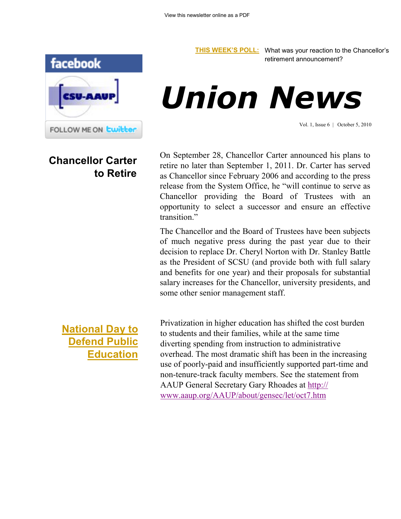

## **Chancellor Carter to Retire**

**[THIS WEEK'S POLL:](http://www.csuaaup.org/)** What was your reaction to the Chancellor's retirement announcement?



Vol. 1, Issue 6 | October 5, 2010

On September 28, Chancellor Carter announced his plans to retire no later than September 1, 2011. Dr. Carter has served as Chancellor since February 2006 and according to the press release from the System Office, he "will continue to serve as Chancellor providing the Board of Trustees with an opportunity to select a successor and ensure an effective transition."

The Chancellor and the Board of Trustees have been subjects of much negative press during the past year due to their decision to replace Dr. Cheryl Norton with Dr. Stanley Battle as the President of SCSU (and provide both with full salary and benefits for one year) and their proposals for substantial salary increases for the Chancellor, university presidents, and some other senior management staff.

Privatization in higher education has shifted the cost burden to students and their families, while at the same time diverting spending from instruction to administrative overhead. The most dramatic shift has been in the increasing use of poorly-paid and insufficiently supported part-time and non-tenure-track faculty members. See the statement from AAUP General Secretary Gary Rhoades at [http://](http://www.aaup.org/AAUP/about/gensec/let/oct7.htm)

[www.aaup.org/AAUP/about/gensec/let/oct7.htm](http://www.aaup.org/AAUP/about/gensec/let/oct7.htm)

**[National Day to](http://www.defendeducation.org/)  [Defend Public](http://www.defendeducation.org/)  [Education](http://www.defendeducation.org/)**